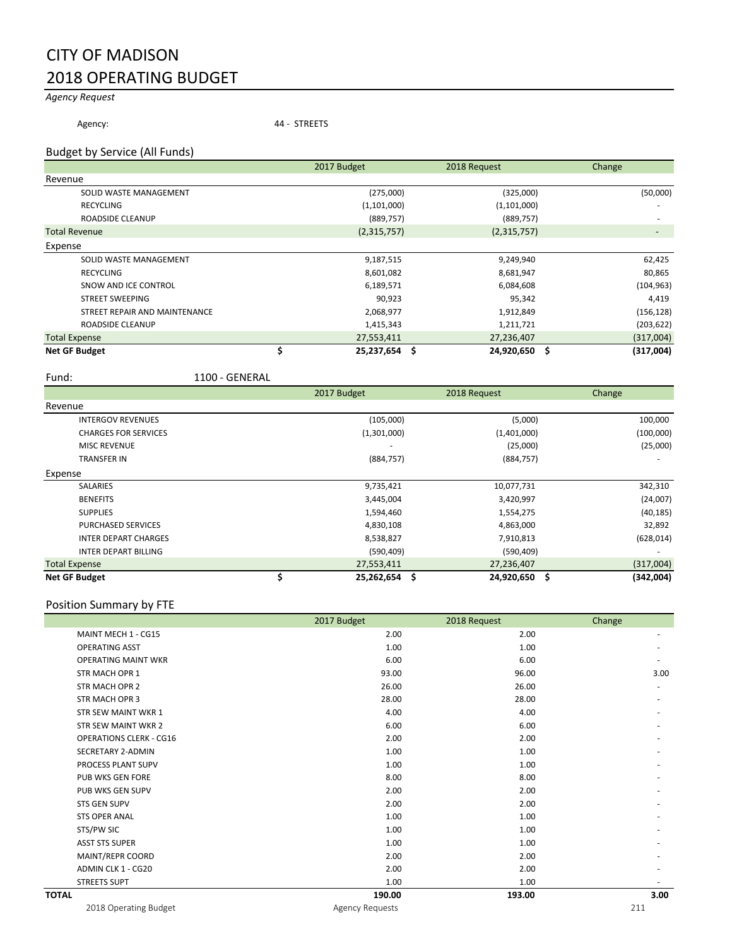## CITY OF MADISON 2018 OPERATING BUDGET

## *Agency Request*

Agency: 44 - STREETS

### Budget by Service (All Funds)

|                               | 2017 Budget        | 2018 Request  | Change     |
|-------------------------------|--------------------|---------------|------------|
| Revenue                       |                    |               |            |
| SOLID WASTE MANAGEMENT        | (275,000)          | (325,000)     | (50,000)   |
| <b>RECYCLING</b>              | (1,101,000)        | (1,101,000)   |            |
| ROADSIDE CLEANUP              | (889, 757)         | (889, 757)    |            |
| <b>Total Revenue</b>          | (2,315,757)        | (2,315,757)   |            |
| Expense                       |                    |               |            |
| SOLID WASTE MANAGEMENT        | 9,187,515          | 9,249,940     | 62,425     |
| <b>RECYCLING</b>              | 8,601,082          | 8,681,947     | 80,865     |
| SNOW AND ICE CONTROL          | 6,189,571          | 6,084,608     | (104, 963) |
| <b>STREET SWEEPING</b>        | 90,923             | 95,342        | 4,419      |
| STREET REPAIR AND MAINTENANCE | 2,068,977          | 1,912,849     | (156, 128) |
| ROADSIDE CLEANUP              | 1,415,343          | 1,211,721     | (203, 622) |
| <b>Total Expense</b>          | 27,553,411         | 27,236,407    | (317,004)  |
| <b>Net GF Budget</b>          | Ś<br>25,237,654 \$ | 24,920,650 \$ | (317,004)  |

Ī

Fund: 1100 - GENERAL

|                             | 2017 Budget         | 2018 Request  | Change     |
|-----------------------------|---------------------|---------------|------------|
| Revenue                     |                     |               |            |
| <b>INTERGOV REVENUES</b>    | (105,000)           | (5,000)       | 100,000    |
| <b>CHARGES FOR SERVICES</b> | (1,301,000)         | (1,401,000)   | (100,000)  |
| <b>MISC REVENUE</b>         |                     | (25,000)      | (25,000)   |
| <b>TRANSFER IN</b>          | (884, 757)          | (884, 757)    |            |
| Expense                     |                     |               |            |
| <b>SALARIES</b>             | 9,735,421           | 10,077,731    | 342,310    |
| <b>BENEFITS</b>             | 3,445,004           | 3,420,997     | (24,007)   |
| <b>SUPPLIES</b>             | 1,594,460           | 1,554,275     | (40, 185)  |
| <b>PURCHASED SERVICES</b>   | 4,830,108           | 4,863,000     | 32,892     |
| <b>INTER DEPART CHARGES</b> | 8,538,827           | 7,910,813     | (628, 014) |
| <b>INTER DEPART BILLING</b> | (590, 409)          | (590, 409)    |            |
| <b>Total Expense</b>        | 27,553,411          | 27,236,407    | (317,004)  |
| <b>Net GF Budget</b>        | \$<br>25,262,654 \$ | 24,920,650 \$ | (342,004)  |

## Position Summary by FTE

|                                | 2017 Budget            | 2018 Request | Change |
|--------------------------------|------------------------|--------------|--------|
| MAINT MECH 1 - CG15            | 2.00                   | 2.00         |        |
| <b>OPERATING ASST</b>          | 1.00                   | 1.00         |        |
| <b>OPERATING MAINT WKR</b>     | 6.00                   | 6.00         |        |
| <b>STR MACH OPR 1</b>          | 93.00                  | 96.00        | 3.00   |
| <b>STR MACH OPR 2</b>          | 26.00                  | 26.00        |        |
| <b>STR MACH OPR 3</b>          | 28.00                  | 28.00        |        |
| <b>STR SEW MAINT WKR 1</b>     | 4.00                   | 4.00         |        |
| <b>STR SEW MAINT WKR 2</b>     | 6.00                   | 6.00         |        |
| <b>OPERATIONS CLERK - CG16</b> | 2.00                   | 2.00         |        |
| SECRETARY 2-ADMIN              | 1.00                   | 1.00         |        |
| PROCESS PLANT SUPV             | 1.00                   | 1.00         |        |
| <b>PUB WKS GEN FORE</b>        | 8.00                   | 8.00         |        |
| PUB WKS GEN SUPV               | 2.00                   | 2.00         |        |
| <b>STS GEN SUPV</b>            | 2.00                   | 2.00         |        |
| <b>STS OPER ANAL</b>           | 1.00                   | 1.00         |        |
| STS/PW SIC                     | 1.00                   | 1.00         |        |
| <b>ASST STS SUPER</b>          | 1.00                   | 1.00         |        |
| MAINT/REPR COORD               | 2.00                   | 2.00         |        |
| ADMIN CLK 1 - CG20             | 2.00                   | 2.00         |        |
| <b>STREETS SUPT</b>            | 1.00                   | 1.00         |        |
| <b>TOTAL</b>                   | 190.00                 | 193.00       | 3.00   |
| 2018 Operating Budget          | <b>Agency Requests</b> |              | 211    |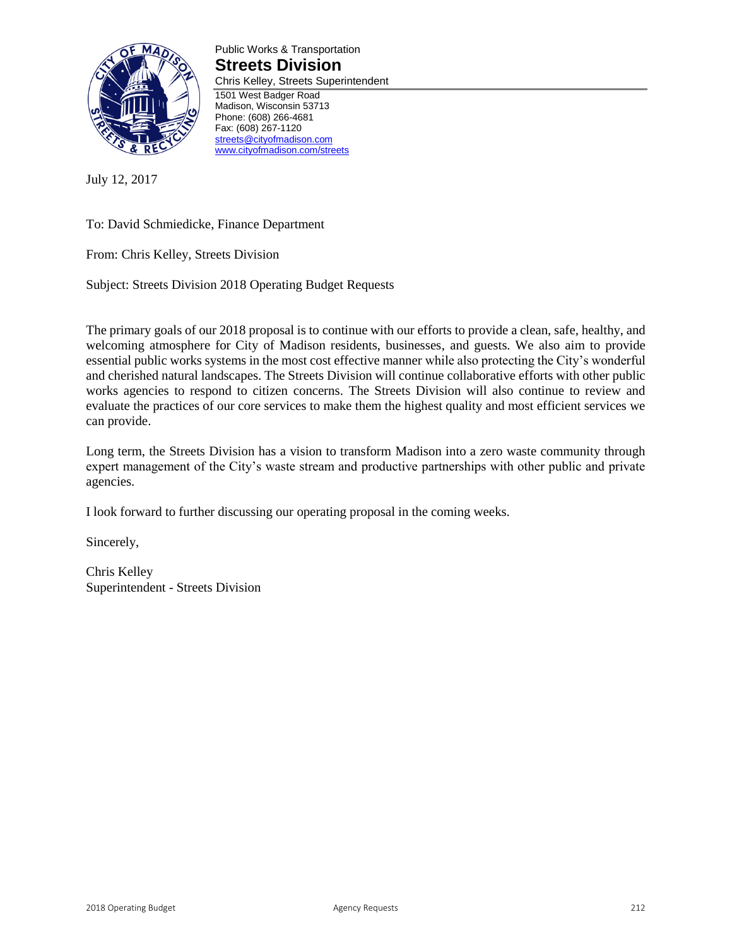

Public Works & Transportation **Streets Division** Chris Kelley, Streets Superintendent 1501 West Badger Road Madison, Wisconsin 53713 Phone: (608) 266-4681

July 12, 2017

To: David Schmiedicke, Finance Department

From: Chris Kelley, Streets Division

Subject: Streets Division 2018 Operating Budget Requests

Fax: (608) 267-1120 [streets@cityofmadison.com](mailto:streets@cityofmadison.com) [www.cityofmadison.com/streets](http://www.cityofmadison.com/streets)

The primary goals of our 2018 proposal is to continue with our efforts to provide a clean, safe, healthy, and welcoming atmosphere for City of Madison residents, businesses, and guests. We also aim to provide essential public works systems in the most cost effective manner while also protecting the City's wonderful and cherished natural landscapes. The Streets Division will continue collaborative efforts with other public works agencies to respond to citizen concerns. The Streets Division will also continue to review and evaluate the practices of our core services to make them the highest quality and most efficient services we can provide.

Long term, the Streets Division has a vision to transform Madison into a zero waste community through expert management of the City's waste stream and productive partnerships with other public and private agencies.

I look forward to further discussing our operating proposal in the coming weeks.

Sincerely,

Chris Kelley Superintendent - Streets Division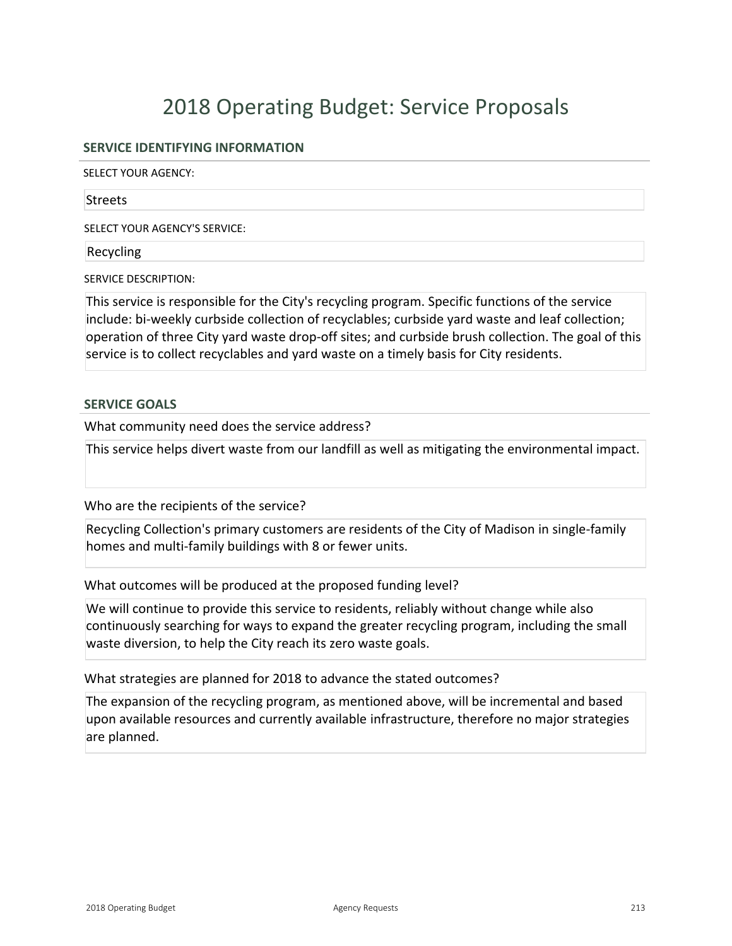## **SERVICE IDENTIFYING INFORMATION**

SELECT YOUR AGENCY:

#### **Streets**

SELECT YOUR AGENCY'S SERVICE:

### Recycling

SERVICE DESCRIPTION:

This service is responsible for the City's recycling program. Specific functions of the service include: bi-weekly curbside collection of recyclables; curbside yard waste and leaf collection; operation of three City yard waste drop-off sites; and curbside brush collection. The goal of this service is to collect recyclables and yard waste on a timely basis for City residents.

### **SERVICE GOALS**

What community need does the service address?

This service helps divert waste from our landfill as well as mitigating the environmental impact.

Who are the recipients of the service?

Recycling Collection's primary customers are residents of the City of Madison in single-family homes and multi-family buildings with 8 or fewer units.

What outcomes will be produced at the proposed funding level?

We will continue to provide this service to residents, reliably without change while also continuously searching for ways to expand the greater recycling program, including the small waste diversion, to help the City reach its zero waste goals.

What strategies are planned for 2018 to advance the stated outcomes?

The expansion of the recycling program, as mentioned above, will be incremental and based upon available resources and currently available infrastructure, therefore no major strategies are planned.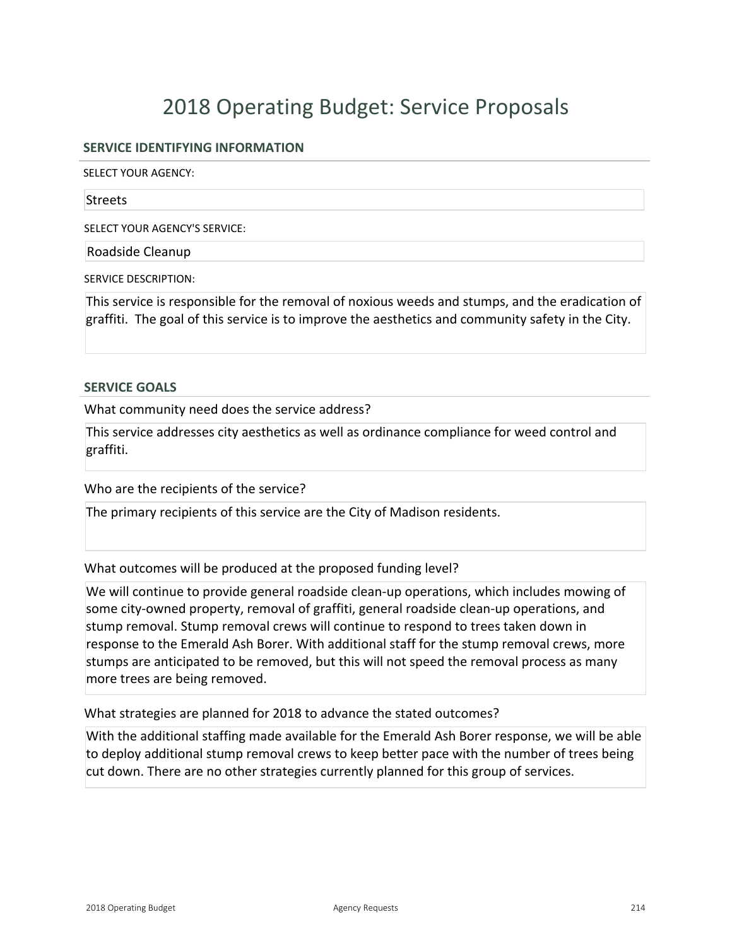## **SERVICE IDENTIFYING INFORMATION**

SELECT YOUR AGENCY:

#### **Streets**

SELECT YOUR AGENCY'S SERVICE:

Roadside Cleanup

SERVICE DESCRIPTION:

This service is responsible for the removal of noxious weeds and stumps, and the eradication of graffiti. The goal of this service is to improve the aesthetics and community safety in the City.

#### **SERVICE GOALS**

What community need does the service address?

This service addresses city aesthetics as well as ordinance compliance for weed control and graffiti.

Who are the recipients of the service?

The primary recipients of this service are the City of Madison residents.

What outcomes will be produced at the proposed funding level?

We will continue to provide general roadside clean-up operations, which includes mowing of some city-owned property, removal of graffiti, general roadside clean-up operations, and stump removal. Stump removal crews will continue to respond to trees taken down in response to the Emerald Ash Borer. With additional staff for the stump removal crews, more stumps are anticipated to be removed, but this will not speed the removal process as many more trees are being removed.

What strategies are planned for 2018 to advance the stated outcomes?

With the additional staffing made available for the Emerald Ash Borer response, we will be able to deploy additional stump removal crews to keep better pace with the number of trees being cut down. There are no other strategies currently planned for this group of services.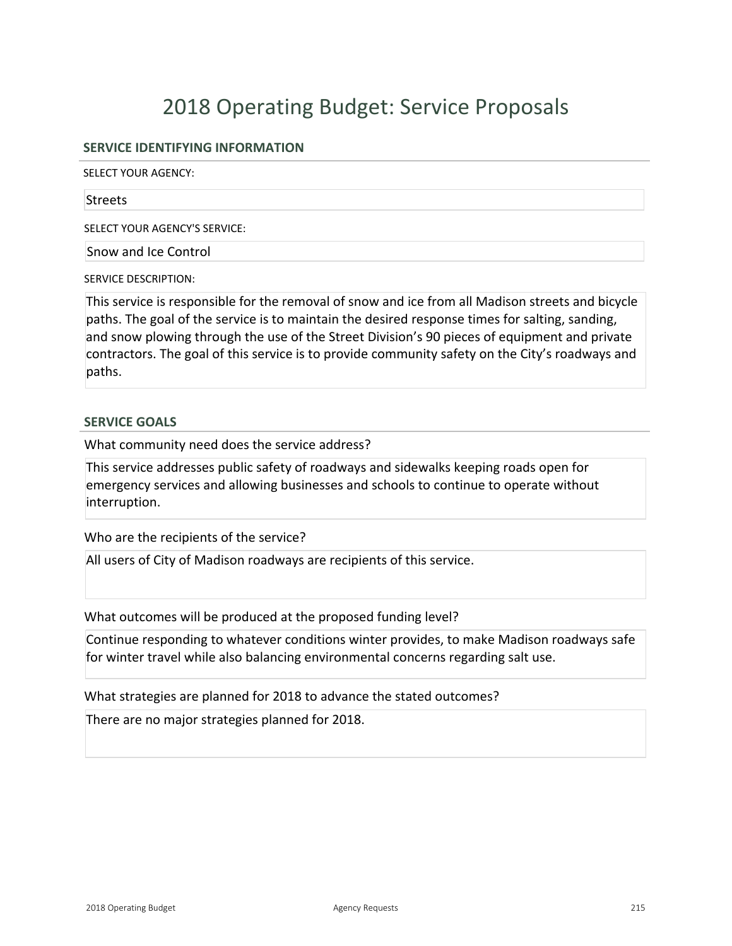## **SERVICE IDENTIFYING INFORMATION**

SELECT YOUR AGENCY:

#### **Streets**

SELECT YOUR AGENCY'S SERVICE:

Snow and Ice Control

SERVICE DESCRIPTION:

This service is responsible for the removal of snow and ice from all Madison streets and bicycle paths. The goal of the service is to maintain the desired response times for salting, sanding, and snow plowing through the use of the Street Division's 90 pieces of equipment and private contractors. The goal of this service is to provide community safety on the City's roadways and paths.

## **SERVICE GOALS**

What community need does the service address?

This service addresses public safety of roadways and sidewalks keeping roads open for emergency services and allowing businesses and schools to continue to operate without interruption.

Who are the recipients of the service?

All users of City of Madison roadways are recipients of this service.

What outcomes will be produced at the proposed funding level?

Continue responding to whatever conditions winter provides, to make Madison roadways safe for winter travel while also balancing environmental concerns regarding salt use.

What strategies are planned for 2018 to advance the stated outcomes?

There are no major strategies planned for 2018.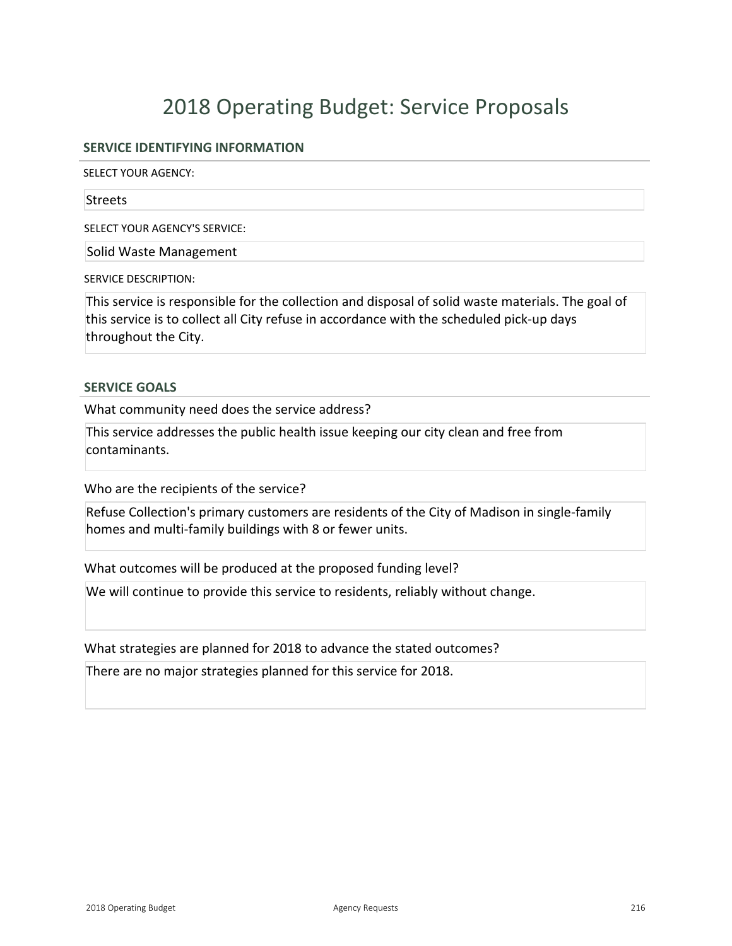## **SERVICE IDENTIFYING INFORMATION**

SELECT YOUR AGENCY:

#### **Streets**

SELECT YOUR AGENCY'S SERVICE:

Solid Waste Management

SERVICE DESCRIPTION:

This service is responsible for the collection and disposal of solid waste materials. The goal of this service is to collect all City refuse in accordance with the scheduled pick-up days throughout the City.

### **SERVICE GOALS**

What community need does the service address?

This service addresses the public health issue keeping our city clean and free from contaminants.

Who are the recipients of the service?

Refuse Collection's primary customers are residents of the City of Madison in single-family homes and multi-family buildings with 8 or fewer units.

What outcomes will be produced at the proposed funding level?

We will continue to provide this service to residents, reliably without change.

What strategies are planned for 2018 to advance the stated outcomes?

There are no major strategies planned for this service for 2018.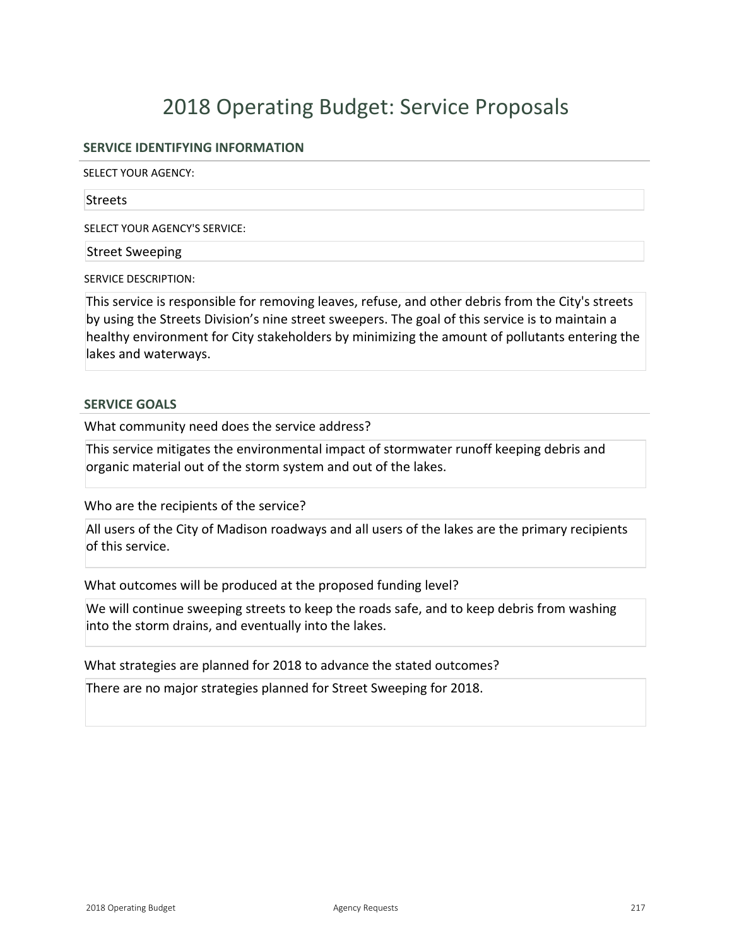## **SERVICE IDENTIFYING INFORMATION**

SELECT YOUR AGENCY:

#### **Streets**

SELECT YOUR AGENCY'S SERVICE:

### Street Sweeping

SERVICE DESCRIPTION:

This service is responsible for removing leaves, refuse, and other debris from the City's streets by using the Streets Division's nine street sweepers. The goal of this service is to maintain a healthy environment for City stakeholders by minimizing the amount of pollutants entering the lakes and waterways.

### **SERVICE GOALS**

What community need does the service address?

This service mitigates the environmental impact of stormwater runoff keeping debris and organic material out of the storm system and out of the lakes.

Who are the recipients of the service?

All users of the City of Madison roadways and all users of the lakes are the primary recipients of this service.

What outcomes will be produced at the proposed funding level?

We will continue sweeping streets to keep the roads safe, and to keep debris from washing into the storm drains, and eventually into the lakes.

What strategies are planned for 2018 to advance the stated outcomes?

There are no major strategies planned for Street Sweeping for 2018.